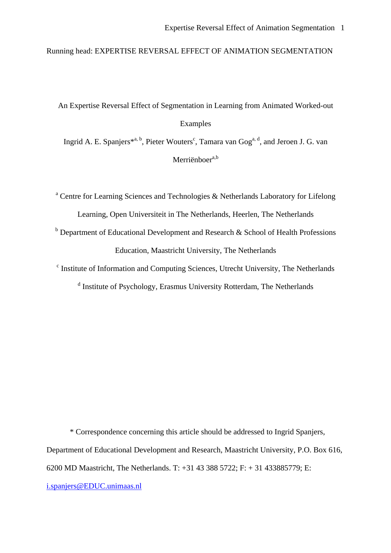Running head: EXPERTISE REVERSAL EFFECT OF ANIMATION SEGMENTATION

# An Expertise Reversal Effect of Segmentation in Learning from Animated Worked-out Examples

Ingrid A. E. Spanjers<sup>\*a, b</sup>, Pieter Wouters<sup>c</sup>, Tamara van Gog<sup>a, d</sup>, and Jeroen J. G. van Merriënboer $a,b$ 

<sup>a</sup> Centre for Learning Sciences and Technologies & Netherlands Laboratory for Lifelong Learning, Open Universiteit in The Netherlands, Heerlen, The Netherlands

 $b$  Department of Educational Development and Research & School of Health Professions Education, Maastricht University, The Netherlands

<sup>c</sup> Institute of Information and Computing Sciences, Utrecht University, The Netherlands

<sup>d</sup> Institute of Psychology, Erasmus University Rotterdam, The Netherlands

\* Correspondence concerning this article should be addressed to Ingrid Spanjers, Department of Educational Development and Research, Maastricht University, P.O. Box 616, 6200 MD Maastricht, The Netherlands. T: +31 43 388 5722; F: + 31 433885779; E: i.spanjers@EDUC.unimaas.nl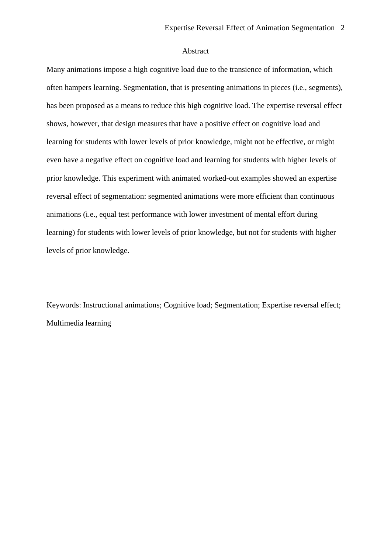#### Abstract

Many animations impose a high cognitive load due to the transience of information, which often hampers learning. Segmentation, that is presenting animations in pieces (i.e., segments), has been proposed as a means to reduce this high cognitive load. The expertise reversal effect shows, however, that design measures that have a positive effect on cognitive load and learning for students with lower levels of prior knowledge, might not be effective, or might even have a negative effect on cognitive load and learning for students with higher levels of prior knowledge. This experiment with animated worked-out examples showed an expertise reversal effect of segmentation: segmented animations were more efficient than continuous animations (i.e., equal test performance with lower investment of mental effort during learning) for students with lower levels of prior knowledge, but not for students with higher levels of prior knowledge.

Keywords: Instructional animations; Cognitive load; Segmentation; Expertise reversal effect; Multimedia learning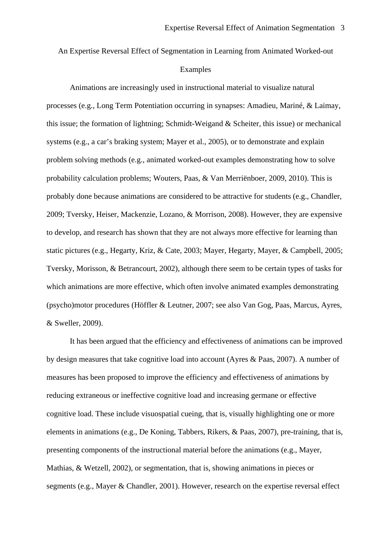# An Expertise Reversal Effect of Segmentation in Learning from Animated Worked-out Examples

 Animations are increasingly used in instructional material to visualize natural processes (e.g., Long Term Potentiation occurring in synapses: Amadieu, Mariné, & Laimay, this issue; the formation of lightning; Schmidt-Weigand & Scheiter, this issue) or mechanical systems (e.g., a car's braking system; Mayer et al., 2005), or to demonstrate and explain problem solving methods (e.g., animated worked-out examples demonstrating how to solve probability calculation problems; Wouters, Paas, & Van Merriënboer, 2009, 2010). This is probably done because animations are considered to be attractive for students (e.g., Chandler, 2009; Tversky, Heiser, Mackenzie, Lozano, & Morrison, 2008). However, they are expensive to develop, and research has shown that they are not always more effective for learning than static pictures (e.g., Hegarty, Kriz, & Cate, 2003; Mayer, Hegarty, Mayer, & Campbell, 2005; Tversky, Morisson, & Betrancourt, 2002), although there seem to be certain types of tasks for which animations are more effective, which often involve animated examples demonstrating (psycho)motor procedures (Höffler & Leutner, 2007; see also Van Gog, Paas, Marcus, Ayres, & Sweller, 2009).

 It has been argued that the efficiency and effectiveness of animations can be improved by design measures that take cognitive load into account (Ayres & Paas, 2007). A number of measures has been proposed to improve the efficiency and effectiveness of animations by reducing extraneous or ineffective cognitive load and increasing germane or effective cognitive load. These include visuospatial cueing, that is, visually highlighting one or more elements in animations (e.g., De Koning, Tabbers, Rikers, & Paas, 2007), pre-training, that is, presenting components of the instructional material before the animations (e.g., Mayer, Mathias, & Wetzell, 2002), or segmentation, that is, showing animations in pieces or segments (e.g., Mayer & Chandler, 2001). However, research on the expertise reversal effect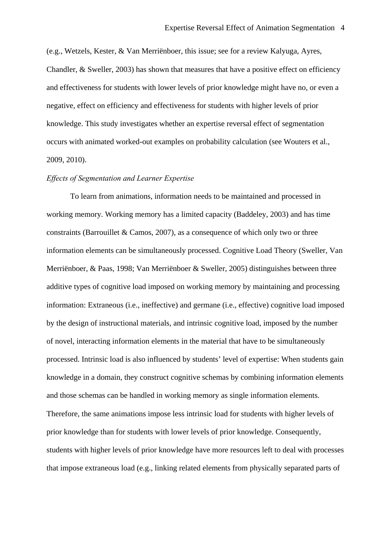(e.g., Wetzels, Kester, & Van Merriënboer, this issue; see for a review Kalyuga, Ayres, Chandler, & Sweller, 2003) has shown that measures that have a positive effect on efficiency and effectiveness for students with lower levels of prior knowledge might have no, or even a negative, effect on efficiency and effectiveness for students with higher levels of prior knowledge. This study investigates whether an expertise reversal effect of segmentation occurs with animated worked-out examples on probability calculation (see Wouters et al., 2009, 2010).

#### *Effects of Segmentation and Learner Expertise*

To learn from animations, information needs to be maintained and processed in working memory. Working memory has a limited capacity (Baddeley, 2003) and has time constraints (Barrouillet & Camos, 2007), as a consequence of which only two or three information elements can be simultaneously processed. Cognitive Load Theory (Sweller, Van Merriënboer, & Paas, 1998; Van Merriënboer & Sweller, 2005) distinguishes between three additive types of cognitive load imposed on working memory by maintaining and processing information: Extraneous (i.e., ineffective) and germane (i.e., effective) cognitive load imposed by the design of instructional materials, and intrinsic cognitive load, imposed by the number of novel, interacting information elements in the material that have to be simultaneously processed. Intrinsic load is also influenced by students' level of expertise: When students gain knowledge in a domain, they construct cognitive schemas by combining information elements and those schemas can be handled in working memory as single information elements. Therefore, the same animations impose less intrinsic load for students with higher levels of prior knowledge than for students with lower levels of prior knowledge. Consequently, students with higher levels of prior knowledge have more resources left to deal with processes that impose extraneous load (e.g., linking related elements from physically separated parts of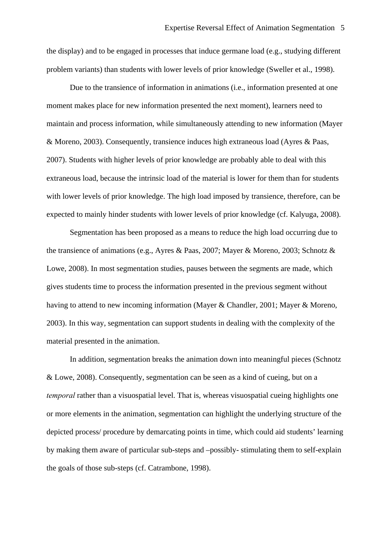the display) and to be engaged in processes that induce germane load (e.g., studying different problem variants) than students with lower levels of prior knowledge (Sweller et al., 1998).

Due to the transience of information in animations (i.e., information presented at one moment makes place for new information presented the next moment), learners need to maintain and process information, while simultaneously attending to new information (Mayer & Moreno, 2003). Consequently, transience induces high extraneous load (Ayres & Paas, 2007). Students with higher levels of prior knowledge are probably able to deal with this extraneous load, because the intrinsic load of the material is lower for them than for students with lower levels of prior knowledge. The high load imposed by transience, therefore, can be expected to mainly hinder students with lower levels of prior knowledge (cf. Kalyuga, 2008).

 Segmentation has been proposed as a means to reduce the high load occurring due to the transience of animations (e.g., Ayres & Paas, 2007; Mayer & Moreno, 2003; Schnotz & Lowe, 2008). In most segmentation studies, pauses between the segments are made, which gives students time to process the information presented in the previous segment without having to attend to new incoming information (Mayer & Chandler, 2001; Mayer & Moreno, 2003). In this way, segmentation can support students in dealing with the complexity of the material presented in the animation.

In addition, segmentation breaks the animation down into meaningful pieces (Schnotz & Lowe, 2008). Consequently, segmentation can be seen as a kind of cueing, but on a *temporal* rather than a visuospatial level. That is, whereas visuospatial cueing highlights one or more elements in the animation, segmentation can highlight the underlying structure of the depicted process/ procedure by demarcating points in time, which could aid students' learning by making them aware of particular sub-steps and –possibly- stimulating them to self-explain the goals of those sub-steps (cf. Catrambone, 1998).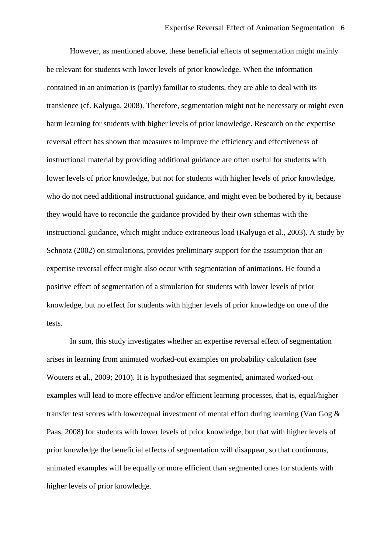However, as mentioned above, these beneficial effects of segmentation might mainly be relevant for students with lower levels of prior knowledge. When the information contained in an animation is (partly) familiar to students, they are able to deal with its transience (cf. Kalyuga, 2008). Therefore, segmentation might not be necessary or might even harm learning for students with higher levels of prior knowledge. Research on the expertise reversal effect has shown that measures to improve the efficiency and effectiveness of instructional material by providing additional guidance are often useful for students with lower levels of prior knowledge, but not for students with higher levels of prior knowledge, who do not need additional instructional guidance, and might even be bothered by it, because they would have to reconcile the guidance provided by their own schemas with the instructional guidance, which might induce extraneous load (Kalyuga et al., 2003). A study by Schnotz (2002) on simulations, provides preliminary support for the assumption that an expertise reversal effect might also occur with segmentation of animations. He found a positive effect of segmentation of a simulation for students with lower levels of prior knowledge, but no effect for students with higher levels of prior knowledge on one of the tests.

In sum, this study investigates whether an expertise reversal effect of segmentation arises in learning from animated worked-out examples on probability calculation (see Wouters et al., 2009; 2010). It is hypothesized that segmented, animated worked-out examples will lead to more effective and/or efficient learning processes, that is, equal/higher transfer test scores with lower/equal investment of mental effort during learning (Van Gog & Paas, 2008) for students with lower levels of prior knowledge, but that with higher levels of prior knowledge the beneficial effects of segmentation will disappear, so that continuous, animated examples will be equally or more efficient than segmented ones for students with higher levels of prior knowledge.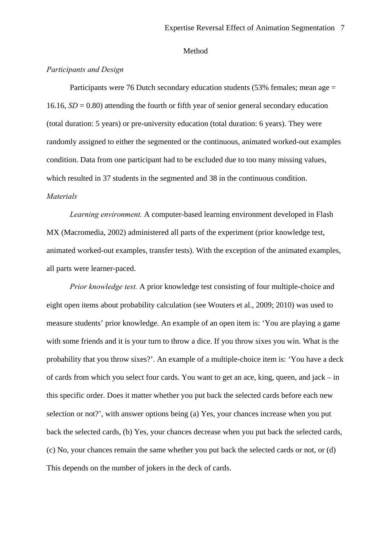#### Method

#### *Participants and Design*

Participants were 76 Dutch secondary education students (53% females; mean age = 16.16,  $SD = 0.80$ ) attending the fourth or fifth year of senior general secondary education (total duration: 5 years) or pre-university education (total duration: 6 years). They were randomly assigned to either the segmented or the continuous, animated worked-out examples condition. Data from one participant had to be excluded due to too many missing values, which resulted in 37 students in the segmented and 38 in the continuous condition. *Materials* 

 *Learning environment.* A computer-based learning environment developed in Flash MX (Macromedia, 2002) administered all parts of the experiment (prior knowledge test, animated worked-out examples, transfer tests). With the exception of the animated examples, all parts were learner-paced.

 *Prior knowledge test.* A prior knowledge test consisting of four multiple-choice and eight open items about probability calculation (see Wouters et al., 2009; 2010) was used to measure students' prior knowledge. An example of an open item is: 'You are playing a game with some friends and it is your turn to throw a dice. If you throw sixes you win. What is the probability that you throw sixes?'. An example of a multiple-choice item is: 'You have a deck of cards from which you select four cards. You want to get an ace, king, queen, and jack – in this specific order. Does it matter whether you put back the selected cards before each new selection or not?', with answer options being (a) Yes, your chances increase when you put back the selected cards, (b) Yes, your chances decrease when you put back the selected cards, (c) No, your chances remain the same whether you put back the selected cards or not, or (d) This depends on the number of jokers in the deck of cards.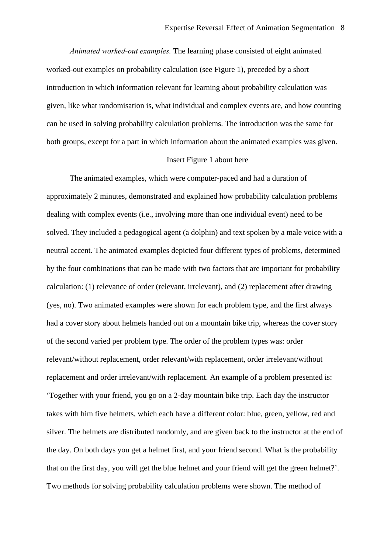*Animated worked-out examples.* The learning phase consisted of eight animated worked-out examples on probability calculation (see Figure 1), preceded by a short introduction in which information relevant for learning about probability calculation was given, like what randomisation is, what individual and complex events are, and how counting can be used in solving probability calculation problems. The introduction was the same for both groups, except for a part in which information about the animated examples was given.

#### Insert Figure 1 about here

 The animated examples, which were computer-paced and had a duration of approximately 2 minutes, demonstrated and explained how probability calculation problems dealing with complex events (i.e., involving more than one individual event) need to be solved. They included a pedagogical agent (a dolphin) and text spoken by a male voice with a neutral accent. The animated examples depicted four different types of problems, determined by the four combinations that can be made with two factors that are important for probability calculation: (1) relevance of order (relevant, irrelevant), and (2) replacement after drawing (yes, no). Two animated examples were shown for each problem type, and the first always had a cover story about helmets handed out on a mountain bike trip, whereas the cover story of the second varied per problem type. The order of the problem types was: order relevant/without replacement, order relevant/with replacement, order irrelevant/without replacement and order irrelevant/with replacement. An example of a problem presented is: 'Together with your friend, you go on a 2-day mountain bike trip. Each day the instructor takes with him five helmets, which each have a different color: blue, green, yellow, red and silver. The helmets are distributed randomly, and are given back to the instructor at the end of the day. On both days you get a helmet first, and your friend second. What is the probability that on the first day, you will get the blue helmet and your friend will get the green helmet?'. Two methods for solving probability calculation problems were shown. The method of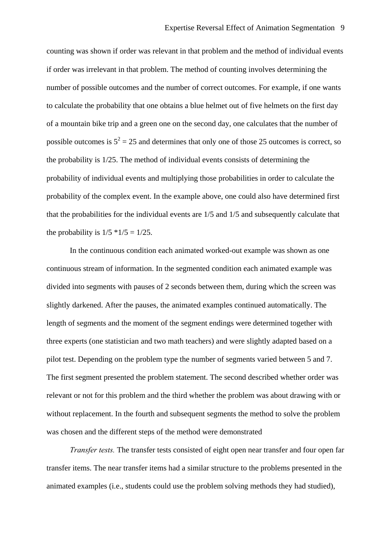counting was shown if order was relevant in that problem and the method of individual events if order was irrelevant in that problem. The method of counting involves determining the number of possible outcomes and the number of correct outcomes. For example, if one wants to calculate the probability that one obtains a blue helmet out of five helmets on the first day of a mountain bike trip and a green one on the second day, one calculates that the number of possible outcomes is  $5^2 = 25$  and determines that only one of those 25 outcomes is correct, so the probability is 1/25. The method of individual events consists of determining the probability of individual events and multiplying those probabilities in order to calculate the probability of the complex event. In the example above, one could also have determined first that the probabilities for the individual events are 1/5 and 1/5 and subsequently calculate that the probability is  $1/5$  \* $1/5 = 1/25$ .

 In the continuous condition each animated worked-out example was shown as one continuous stream of information. In the segmented condition each animated example was divided into segments with pauses of 2 seconds between them, during which the screen was slightly darkened. After the pauses, the animated examples continued automatically. The length of segments and the moment of the segment endings were determined together with three experts (one statistician and two math teachers) and were slightly adapted based on a pilot test. Depending on the problem type the number of segments varied between 5 and 7. The first segment presented the problem statement. The second described whether order was relevant or not for this problem and the third whether the problem was about drawing with or without replacement. In the fourth and subsequent segments the method to solve the problem was chosen and the different steps of the method were demonstrated

 *Transfer tests.* The transfer tests consisted of eight open near transfer and four open far transfer items. The near transfer items had a similar structure to the problems presented in the animated examples (i.e., students could use the problem solving methods they had studied),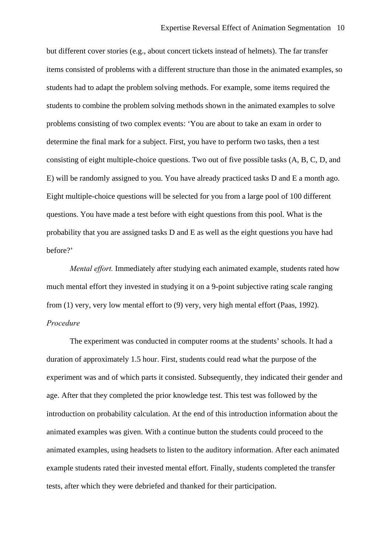but different cover stories (e.g., about concert tickets instead of helmets). The far transfer items consisted of problems with a different structure than those in the animated examples, so students had to adapt the problem solving methods. For example, some items required the students to combine the problem solving methods shown in the animated examples to solve problems consisting of two complex events: 'You are about to take an exam in order to determine the final mark for a subject. First, you have to perform two tasks, then a test consisting of eight multiple-choice questions. Two out of five possible tasks (A, B, C, D, and E) will be randomly assigned to you. You have already practiced tasks D and E a month ago. Eight multiple-choice questions will be selected for you from a large pool of 100 different questions. You have made a test before with eight questions from this pool. What is the probability that you are assigned tasks D and E as well as the eight questions you have had before?'

 *Mental effort.* Immediately after studying each animated example, students rated how much mental effort they invested in studying it on a 9-point subjective rating scale ranging from (1) very, very low mental effort to (9) very, very high mental effort (Paas, 1992). *Procedure* 

The experiment was conducted in computer rooms at the students' schools. It had a duration of approximately 1.5 hour. First, students could read what the purpose of the experiment was and of which parts it consisted. Subsequently, they indicated their gender and age. After that they completed the prior knowledge test. This test was followed by the introduction on probability calculation. At the end of this introduction information about the animated examples was given. With a continue button the students could proceed to the animated examples, using headsets to listen to the auditory information. After each animated example students rated their invested mental effort. Finally, students completed the transfer tests, after which they were debriefed and thanked for their participation.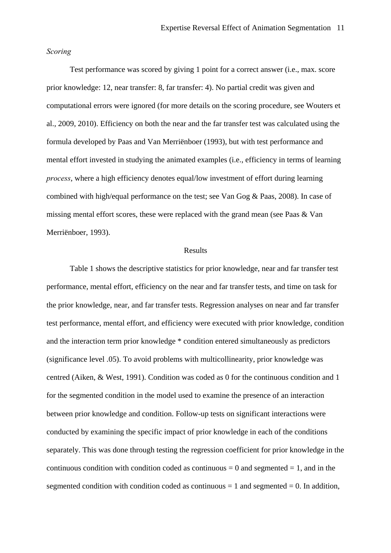#### *Scoring*

 Test performance was scored by giving 1 point for a correct answer (i.e., max. score prior knowledge: 12, near transfer: 8, far transfer: 4). No partial credit was given and computational errors were ignored (for more details on the scoring procedure, see Wouters et al., 2009, 2010). Efficiency on both the near and the far transfer test was calculated using the formula developed by Paas and Van Merriënboer (1993), but with test performance and mental effort invested in studying the animated examples (i.e., efficiency in terms of learning *process*, where a high efficiency denotes equal/low investment of effort during learning combined with high/equal performance on the test; see Van Gog & Paas, 2008). In case of missing mental effort scores, these were replaced with the grand mean (see Paas & Van Merriënboer, 1993).

#### Results

Table 1 shows the descriptive statistics for prior knowledge, near and far transfer test performance, mental effort, efficiency on the near and far transfer tests, and time on task for the prior knowledge, near, and far transfer tests. Regression analyses on near and far transfer test performance, mental effort, and efficiency were executed with prior knowledge, condition and the interaction term prior knowledge \* condition entered simultaneously as predictors (significance level .05). To avoid problems with multicollinearity, prior knowledge was centred (Aiken, & West, 1991). Condition was coded as 0 for the continuous condition and 1 for the segmented condition in the model used to examine the presence of an interaction between prior knowledge and condition. Follow-up tests on significant interactions were conducted by examining the specific impact of prior knowledge in each of the conditions separately. This was done through testing the regression coefficient for prior knowledge in the continuous condition with condition coded as continuous  $= 0$  and segmented  $= 1$ , and in the segmented condition with condition coded as continuous  $= 1$  and segmented  $= 0$ . In addition,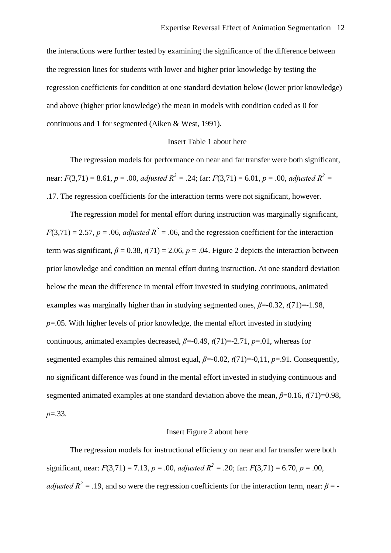the interactions were further tested by examining the significance of the difference between the regression lines for students with lower and higher prior knowledge by testing the regression coefficients for condition at one standard deviation below (lower prior knowledge) and above (higher prior knowledge) the mean in models with condition coded as 0 for continuous and 1 for segmented (Aiken & West, 1991).

#### Insert Table 1 about here

The regression models for performance on near and far transfer were both significant, near: *F*(3,71) = 8.61, *p* = .00, *adjusted*  $R^2 = .24$ ; far: *F*(3,71) = 6.01, *p* = .00, *adjusted*  $R^2 =$ .17. The regression coefficients for the interaction terms were not significant, however.

The regression model for mental effort during instruction was marginally significant,  $F(3,71) = 2.57$ ,  $p = .06$ , *adjusted*  $R^2 = .06$ , and the regression coefficient for the interaction term was significant,  $\beta = 0.38$ ,  $t(71) = 2.06$ ,  $p = .04$ . Figure 2 depicts the interaction between prior knowledge and condition on mental effort during instruction. At one standard deviation below the mean the difference in mental effort invested in studying continuous, animated examples was marginally higher than in studying segmented ones,  $\beta$ =-0.32, *t*(71)=-1.98, *p*=.05. With higher levels of prior knowledge, the mental effort invested in studying continuous, animated examples decreased,  $\beta$ =-0.49,  $t(71)$ =-2.71,  $p$ =.01, whereas for segmented examples this remained almost equal, *β*=-0.02, *t*(71)=-0,11, *p*=.91. Consequently, no significant difference was found in the mental effort invested in studying continuous and segmented animated examples at one standard deviation above the mean,  $\beta$ =0.16,  $t(71)$ =0.98, *p*=.33.

#### Insert Figure 2 about here

The regression models for instructional efficiency on near and far transfer were both significant, near:  $F(3,71) = 7.13$ ,  $p = .00$ , *adjusted*  $R^2 = .20$ ; far:  $F(3,71) = 6.70$ ,  $p = .00$ , *adjusted*  $R^2 = .19$ , and so were the regression coefficients for the interaction term, near:  $\beta = -$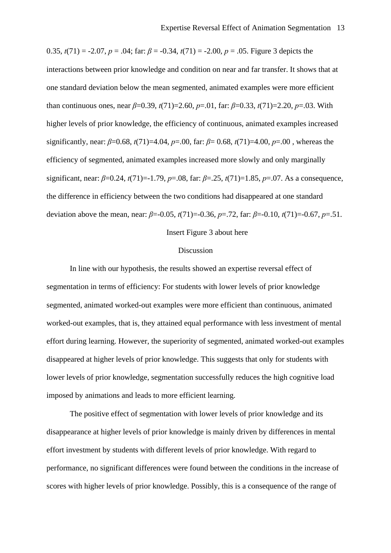0.35,  $t(71) = -2.07$ ,  $p = .04$ ; far:  $\beta = -0.34$ ,  $t(71) = -2.00$ ,  $p = .05$ . Figure 3 depicts the interactions between prior knowledge and condition on near and far transfer. It shows that at one standard deviation below the mean segmented, animated examples were more efficient than continuous ones, near  $\beta$ =0.39,  $t(71)$ =2.60,  $p$ =.01, far:  $\beta$ =0.33,  $t(71)$ =2.20,  $p$ =.03. With higher levels of prior knowledge, the efficiency of continuous, animated examples increased significantly, near: *β*=0.68, *t*(71)=4.04, *p*=.00, far: *β*= 0.68, *t*(71)=4.00, *p*=.00 , whereas the efficiency of segmented, animated examples increased more slowly and only marginally significant, near: *β*=0.24, *t*(71)=-1.79, *p*=.08, far: *β*=.25, *t*(71)=1.85, *p*=.07. As a consequence, the difference in efficiency between the two conditions had disappeared at one standard deviation above the mean, near: *β*=-0.05, *t*(71)=-0.36, *p*=.72, far: *β*=-0.10, *t*(71)=-0.67, *p*=.51.

#### Insert Figure 3 about here

#### Discussion

In line with our hypothesis, the results showed an expertise reversal effect of segmentation in terms of efficiency: For students with lower levels of prior knowledge segmented, animated worked-out examples were more efficient than continuous, animated worked-out examples, that is, they attained equal performance with less investment of mental effort during learning. However, the superiority of segmented, animated worked-out examples disappeared at higher levels of prior knowledge. This suggests that only for students with lower levels of prior knowledge, segmentation successfully reduces the high cognitive load imposed by animations and leads to more efficient learning.

The positive effect of segmentation with lower levels of prior knowledge and its disappearance at higher levels of prior knowledge is mainly driven by differences in mental effort investment by students with different levels of prior knowledge. With regard to performance, no significant differences were found between the conditions in the increase of scores with higher levels of prior knowledge. Possibly, this is a consequence of the range of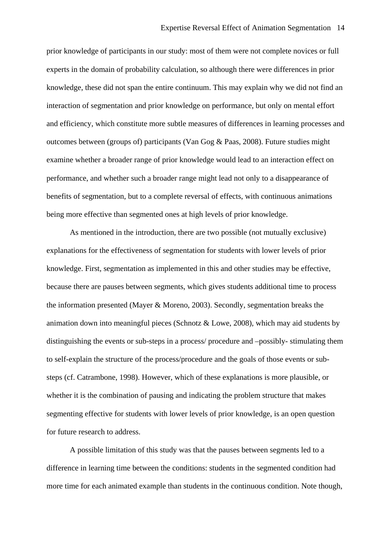prior knowledge of participants in our study: most of them were not complete novices or full experts in the domain of probability calculation, so although there were differences in prior knowledge, these did not span the entire continuum. This may explain why we did not find an interaction of segmentation and prior knowledge on performance, but only on mental effort and efficiency, which constitute more subtle measures of differences in learning processes and outcomes between (groups of) participants (Van Gog & Paas, 2008). Future studies might examine whether a broader range of prior knowledge would lead to an interaction effect on performance, and whether such a broader range might lead not only to a disappearance of benefits of segmentation, but to a complete reversal of effects, with continuous animations being more effective than segmented ones at high levels of prior knowledge.

As mentioned in the introduction, there are two possible (not mutually exclusive) explanations for the effectiveness of segmentation for students with lower levels of prior knowledge. First, segmentation as implemented in this and other studies may be effective, because there are pauses between segments, which gives students additional time to process the information presented (Mayer & Moreno, 2003). Secondly, segmentation breaks the animation down into meaningful pieces (Schnotz & Lowe, 2008), which may aid students by distinguishing the events or sub-steps in a process/ procedure and –possibly- stimulating them to self-explain the structure of the process/procedure and the goals of those events or substeps (cf. Catrambone, 1998). However, which of these explanations is more plausible, or whether it is the combination of pausing and indicating the problem structure that makes segmenting effective for students with lower levels of prior knowledge, is an open question for future research to address.

A possible limitation of this study was that the pauses between segments led to a difference in learning time between the conditions: students in the segmented condition had more time for each animated example than students in the continuous condition. Note though,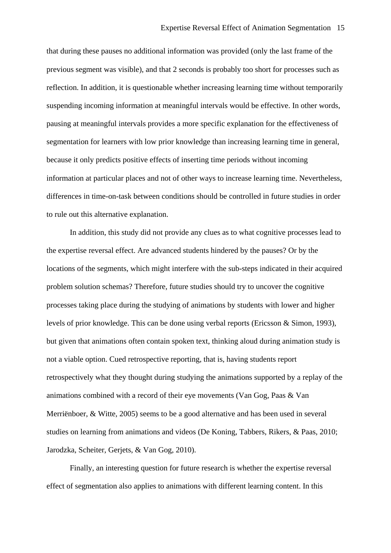that during these pauses no additional information was provided (only the last frame of the previous segment was visible), and that 2 seconds is probably too short for processes such as reflection. In addition, it is questionable whether increasing learning time without temporarily suspending incoming information at meaningful intervals would be effective. In other words, pausing at meaningful intervals provides a more specific explanation for the effectiveness of segmentation for learners with low prior knowledge than increasing learning time in general, because it only predicts positive effects of inserting time periods without incoming information at particular places and not of other ways to increase learning time. Nevertheless, differences in time-on-task between conditions should be controlled in future studies in order to rule out this alternative explanation.

 In addition, this study did not provide any clues as to what cognitive processes lead to the expertise reversal effect. Are advanced students hindered by the pauses? Or by the locations of the segments, which might interfere with the sub-steps indicated in their acquired problem solution schemas? Therefore, future studies should try to uncover the cognitive processes taking place during the studying of animations by students with lower and higher levels of prior knowledge. This can be done using verbal reports (Ericsson & Simon, 1993), but given that animations often contain spoken text, thinking aloud during animation study is not a viable option. Cued retrospective reporting, that is, having students report retrospectively what they thought during studying the animations supported by a replay of the animations combined with a record of their eye movements (Van Gog, Paas & Van Merriënboer, & Witte, 2005) seems to be a good alternative and has been used in several studies on learning from animations and videos (De Koning, Tabbers, Rikers, & Paas, 2010; Jarodzka, Scheiter, Gerjets, & Van Gog, 2010).

 Finally, an interesting question for future research is whether the expertise reversal effect of segmentation also applies to animations with different learning content. In this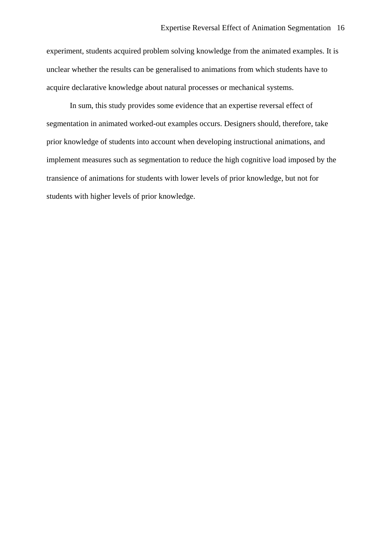experiment, students acquired problem solving knowledge from the animated examples. It is unclear whether the results can be generalised to animations from which students have to acquire declarative knowledge about natural processes or mechanical systems.

 In sum, this study provides some evidence that an expertise reversal effect of segmentation in animated worked-out examples occurs. Designers should, therefore, take prior knowledge of students into account when developing instructional animations, and implement measures such as segmentation to reduce the high cognitive load imposed by the transience of animations for students with lower levels of prior knowledge, but not for students with higher levels of prior knowledge.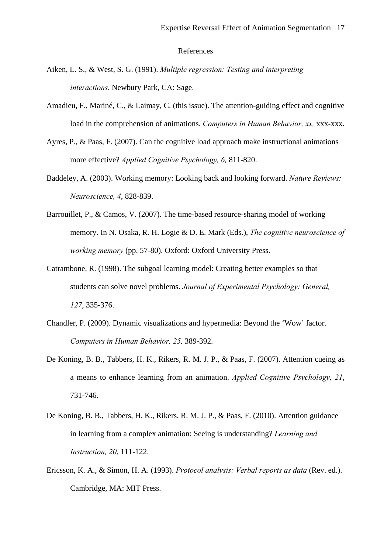#### References

- Aiken, L. S., & West, S. G. (1991). *Multiple regression: Testing and interpreting interactions.* Newbury Park, CA: Sage.
- Amadieu, F., Mariné, C., & Laimay, C. (this issue). The attention-guiding effect and cognitive load in the comprehension of animations. *Computers in Human Behavior, xx,* xxx-xxx.
- Ayres, P., & Paas, F. (2007). Can the cognitive load approach make instructional animations more effective? *Applied Cognitive Psychology, 6,* 811-820.
- Baddeley, A. (2003). Working memory: Looking back and looking forward. *Nature Reviews: Neuroscience, 4*, 828-839.
- Barrouillet, P., & Camos, V. (2007). The time-based resource-sharing model of working memory. In N. Osaka, R. H. Logie & D. E. Mark (Eds.), *The cognitive neuroscience of working memory* (pp. 57-80). Oxford: Oxford University Press.
- Catrambone, R. (1998). The subgoal learning model: Creating better examples so that students can solve novel problems. *Journal of Experimental Psychology: General, 127*, 335-376.
- Chandler, P. (2009). Dynamic visualizations and hypermedia: Beyond the 'Wow' factor. *Computers in Human Behavior, 25,* 389-392.
- De Koning, B. B., Tabbers, H. K., Rikers, R. M. J. P., & Paas, F. (2007). Attention cueing as a means to enhance learning from an animation. *Applied Cognitive Psychology, 21*, 731-746.
- De Koning, B. B., Tabbers, H. K., Rikers, R. M. J. P., & Paas, F. (2010). Attention guidance in learning from a complex animation: Seeing is understanding? *Learning and Instruction, 20*, 111-122.
- Ericsson, K. A., & Simon, H. A. (1993). *Protocol analysis: Verbal reports as data* (Rev. ed.). Cambridge, MA: MIT Press.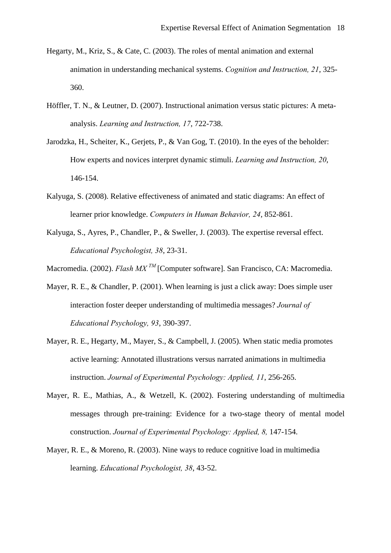- Hegarty, M., Kriz, S., & Cate, C. (2003). The roles of mental animation and external animation in understanding mechanical systems. *Cognition and Instruction, 21*, 325- 360.
- Höffler, T. N., & Leutner, D. (2007). Instructional animation versus static pictures: A metaanalysis. *Learning and Instruction, 17*, 722-738.
- Jarodzka, H., Scheiter, K., Gerjets, P., & Van Gog, T. (2010). In the eyes of the beholder: How experts and novices interpret dynamic stimuli. *Learning and Instruction, 20*, 146-154.
- Kalyuga, S. (2008). Relative effectiveness of animated and static diagrams: An effect of learner prior knowledge. *Computers in Human Behavior, 24*, 852-861.
- Kalyuga, S., Ayres, P., Chandler, P., & Sweller, J. (2003). The expertise reversal effect. *Educational Psychologist, 38*, 23-31.
- Macromedia. (2002). *Flash MX TM* [Computer software]. San Francisco, CA: Macromedia.
- Mayer, R. E., & Chandler, P. (2001). When learning is just a click away: Does simple user interaction foster deeper understanding of multimedia messages? *Journal of Educational Psychology, 93*, 390-397.
- Mayer, R. E., Hegarty, M., Mayer, S., & Campbell, J. (2005). When static media promotes active learning: Annotated illustrations versus narrated animations in multimedia instruction. *Journal of Experimental Psychology: Applied, 11*, 256-265.
- Mayer, R. E., Mathias, A., & Wetzell, K. (2002). Fostering understanding of multimedia messages through pre-training: Evidence for a two-stage theory of mental model construction. *Journal of Experimental Psychology: Applied, 8,* 147-154.
- Mayer, R. E., & Moreno, R. (2003). Nine ways to reduce cognitive load in multimedia learning. *Educational Psychologist, 38*, 43-52.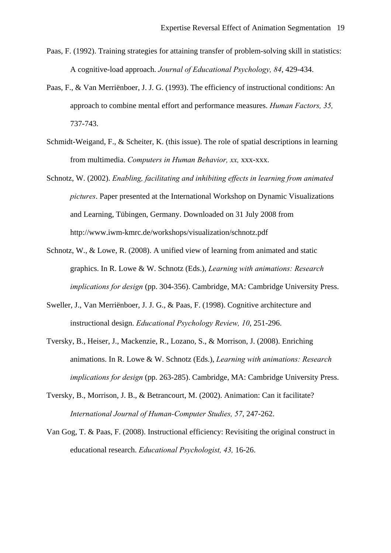- Paas, F. (1992). Training strategies for attaining transfer of problem-solving skill in statistics: A cognitive-load approach. *Journal of Educational Psychology, 84*, 429-434.
- Paas, F., & Van Merriënboer, J. J. G. (1993). The efficiency of instructional conditions: An approach to combine mental effort and performance measures. *Human Factors, 35,*  737-743.
- Schmidt-Weigand, F., & Scheiter, K. (this issue). The role of spatial descriptions in learning from multimedia. *Computers in Human Behavior, xx,* xxx-xxx.
- Schnotz, W. (2002). *Enabling, facilitating and inhibiting effects in learning from animated pictures*. Paper presented at the International Workshop on Dynamic Visualizations and Learning, Tübingen, Germany. Downloaded on 31 July 2008 from http://www.iwm-kmrc.de/workshops/visualization/schnotz.pdf
- Schnotz, W., & Lowe, R. (2008). A unified view of learning from animated and static graphics. In R. Lowe & W. Schnotz (Eds.), *Learning with animations: Research implications for design* (pp. 304-356). Cambridge, MA: Cambridge University Press.
- Sweller, J., Van Merriënboer, J. J. G., & Paas, F. (1998). Cognitive architecture and instructional design. *Educational Psychology Review, 10*, 251-296.
- Tversky, B., Heiser, J., Mackenzie, R., Lozano, S., & Morrison, J. (2008). Enriching animations. In R. Lowe & W. Schnotz (Eds.), *Learning with animations: Research implications for design* (pp. 263-285). Cambridge, MA: Cambridge University Press.
- Tversky, B., Morrison, J. B., & Betrancourt, M. (2002). Animation: Can it facilitate? *International Journal of Human-Computer Studies, 57*, 247-262.
- Van Gog, T. & Paas, F. (2008). Instructional efficiency: Revisiting the original construct in educational research. *Educational Psychologist, 43,* 16-26.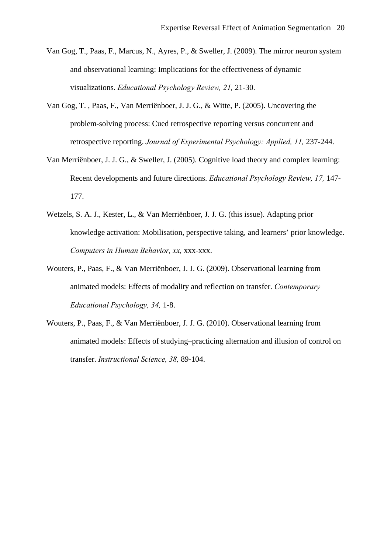- Van Gog, T., Paas, F., Marcus, N., Ayres, P., & Sweller, J. (2009). The mirror neuron system and observational learning: Implications for the effectiveness of dynamic visualizations. *Educational Psychology Review, 21,* 21-30.
- Van Gog, T. , Paas, F., Van Merriënboer, J. J. G., & Witte, P. (2005). Uncovering the problem-solving process: Cued retrospective reporting versus concurrent and retrospective reporting. *Journal of Experimental Psychology: Applied, 11,* 237-244.
- Van Merriënboer, J. J. G., & Sweller, J. (2005). Cognitive load theory and complex learning: Recent developments and future directions. *Educational Psychology Review, 17,* 147- 177.
- Wetzels, S. A. J., Kester, L., & Van Merriënboer, J. J. G. (this issue). Adapting prior knowledge activation: Mobilisation, perspective taking, and learners' prior knowledge. *Computers in Human Behavior, xx,* xxx-xxx.
- Wouters, P., Paas, F., & Van Merriënboer, J. J. G. (2009). Observational learning from animated models: Effects of modality and reflection on transfer. *Contemporary Educational Psychology, 34,* 1-8.
- Wouters, P., Paas, F., & Van Merriënboer, J. J. G. (2010). Observational learning from animated models: Effects of studying–practicing alternation and illusion of control on transfer. *Instructional Science, 38,* 89-104.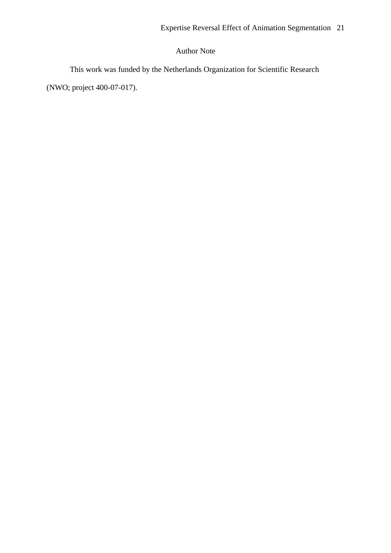## Author Note

This work was funded by the Netherlands Organization for Scientific Research

(NWO; project 400-07-017).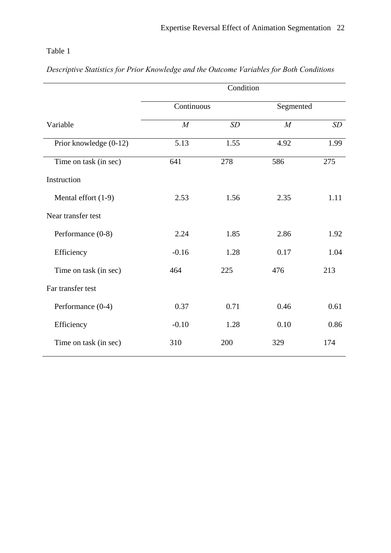## Table 1

|  | Descriptive Statistics for Prior Knowledge and the Outcome Variables for Both Conditions |  |  |  |
|--|------------------------------------------------------------------------------------------|--|--|--|
|  |                                                                                          |  |  |  |

|                        | Condition  |      |           |      |  |  |  |
|------------------------|------------|------|-----------|------|--|--|--|
|                        | Continuous |      | Segmented |      |  |  |  |
| Variable               | M          | SD   | M         | SD   |  |  |  |
| Prior knowledge (0-12) | 5.13       | 1.55 | 4.92      | 1.99 |  |  |  |
| Time on task (in sec)  | 641        | 278  | 586       | 275  |  |  |  |
| Instruction            |            |      |           |      |  |  |  |
| Mental effort (1-9)    | 2.53       | 1.56 | 2.35      | 1.11 |  |  |  |
| Near transfer test     |            |      |           |      |  |  |  |
| Performance (0-8)      | 2.24       | 1.85 | 2.86      | 1.92 |  |  |  |
| Efficiency             | $-0.16$    | 1.28 | 0.17      | 1.04 |  |  |  |
| Time on task (in sec)  | 464        | 225  | 476       | 213  |  |  |  |
| Far transfer test      |            |      |           |      |  |  |  |
| Performance (0-4)      | 0.37       | 0.71 | 0.46      | 0.61 |  |  |  |
| Efficiency             | $-0.10$    | 1.28 | 0.10      | 0.86 |  |  |  |
| Time on task (in sec)  | 310        | 200  | 329       | 174  |  |  |  |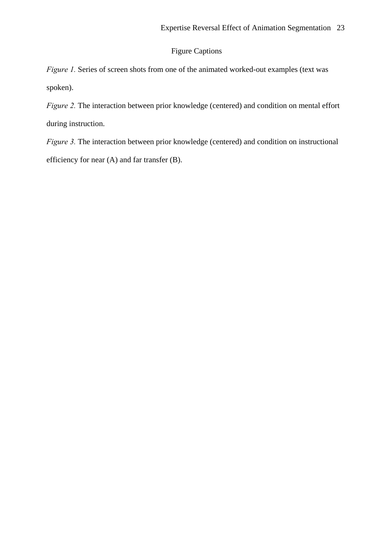### Figure Captions

*Figure 1.* Series of screen shots from one of the animated worked-out examples (text was spoken).

*Figure 2.* The interaction between prior knowledge (centered) and condition on mental effort during instruction.

*Figure 3.* The interaction between prior knowledge (centered) and condition on instructional efficiency for near (A) and far transfer (B).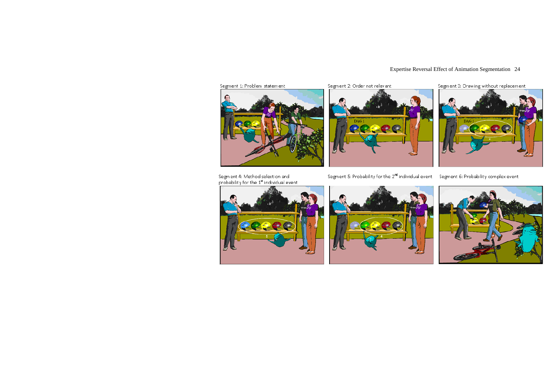## Expertise Reversal Effect of Animation Segmentation 24

Segment 1: Problem statement



Segment 2: Order not relevant



Segment 4: Method selection and<br>probability for the 1<sup>st</sup> individual event







Segment 3: Drawing without replacement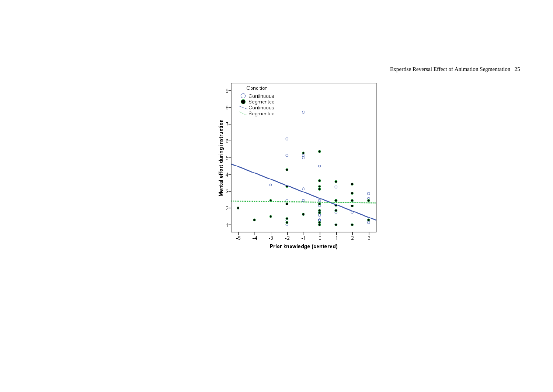

## Expertise Reversal Effect of Animation Segmentation 25